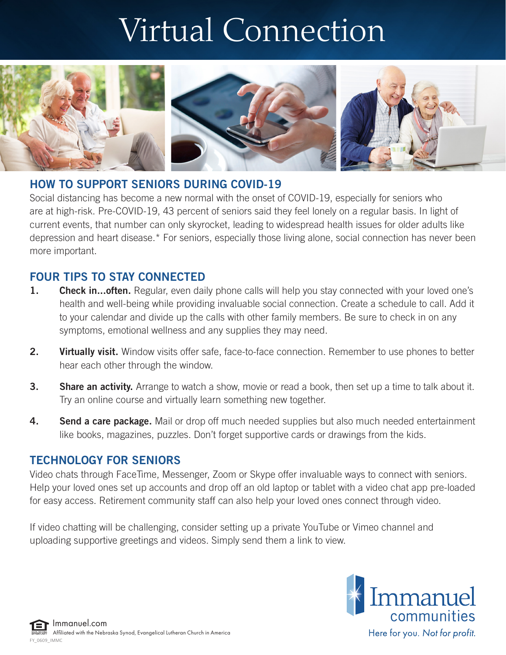## Virtual Connection



## HOW TO SUPPORT SENIORS DURING COVID-19

Social distancing has become a new normal with the onset of COVID-19, especially for seniors who are at high-risk. Pre-COVID-19, 43 percent of seniors said they feel lonely on a regular basis. In light of current events, that number can only skyrocket, leading to widespread health issues for older adults like depression and heart disease.\* For seniors, especially those living alone, social connection has never been more important.

## FOUR TIPS TO STAY CONNECTED

- 1. Check in... often. Regular, even daily phone calls will help you stay connected with your loved one's health and well-being while providing invaluable social connection. Create a schedule to call. Add it to your calendar and divide up the calls with other family members. Be sure to check in on any symptoms, emotional wellness and any supplies they may need.
- 2. Virtually visit. Window visits offer safe, face-to-face connection. Remember to use phones to better hear each other through the window.
- **3.** Share an activity. Arrange to watch a show, movie or read a book, then set up a time to talk about it. Try an online course and virtually learn something new together.
- **4.** Send a care package. Mail or drop off much needed supplies but also much needed entertainment like books, magazines, puzzles. Don't forget supportive cards or drawings from the kids.

## TECHNOLOGY FOR SENIORS

Video chats through FaceTime, Messenger, Zoom or Skype offer invaluable ways to connect with seniors. Help your loved ones set up accounts and drop off an old laptop or tablet with a video chat app pre-loaded for easy access. Retirement community staff can also help your loved ones connect through video.

If video chatting will be challenging, consider setting up a private YouTube or Vimeo channel and uploading supportive greetings and videos. Simply send them a link to view.